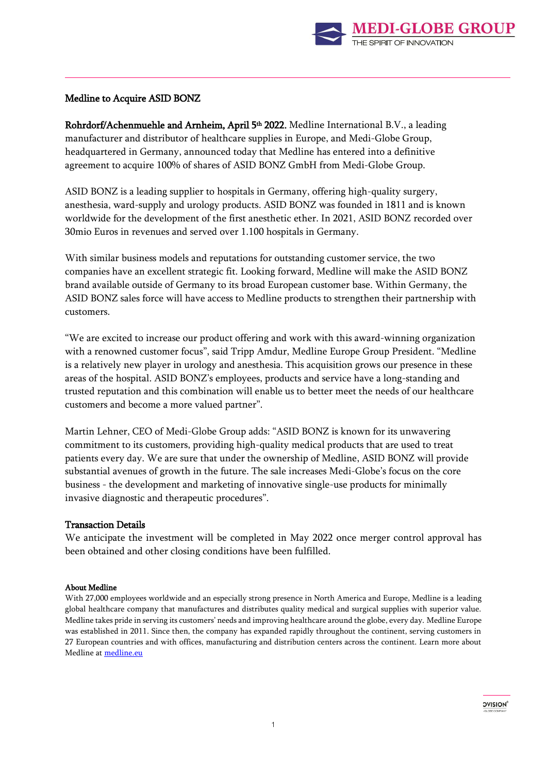

# Medline to Acquire ASID BONZ

**Rohrdorf/Achenmuehle and Arnheim, April 5<sup>th</sup> 2022.** Medline International B.V., a leading manufacturer and distributor of healthcare supplies in Europe, and Medi-Globe Group, headquartered in Germany, announced today that Medline has entered into a definitive agreement to acquire 100% of shares of ASID BONZ GmbH from Medi-Globe Group.

ASID BONZ is a leading supplier to hospitals in Germany, offering high-quality surgery, anesthesia, ward-supply and urology products. ASID BONZ was founded in 1811 and is known worldwide for the development of the first anesthetic ether. In 2021, ASID BONZ recorded over 30mio Euros in revenues and served over 1.100 hospitals in Germany.

With similar business models and reputations for outstanding customer service, the two companies have an excellent strategic fit. Looking forward, Medline will make the ASID BONZ brand available outside of Germany to its broad European customer base. Within Germany, the ASID BONZ sales force will have access to Medline products to strengthen their partnership with customers.

"We are excited to increase our product offering and work with this award-winning organization with a renowned customer focus", said Tripp Amdur, Medline Europe Group President. "Medline is a relatively new player in urology and anesthesia. This acquisition grows our presence in these areas of the hospital. ASID BONZ's employees, products and service have a long-standing and trusted reputation and this combination will enable us to better meet the needs of our healthcare customers and become a more valued partner".

Martin Lehner, CEO of Medi-Globe Group adds: "ASID BONZ is known for its unwavering commitment to its customers, providing high-quality medical products that are used to treat patients every day. We are sure that under the ownership of Medline, ASID BONZ will provide substantial avenues of growth in the future. The sale increases Medi-Globe's focus on the core business - the development and marketing of innovative single-use products for minimally invasive diagnostic and therapeutic procedures".

# Transaction Details

We anticipate the investment will be completed in May 2022 once merger control approval has been obtained and other closing conditions have been fulfilled.

#### About Medline

With 27,000 employees worldwide and an especially strong presence in North America and Europe, Medline is a leading global healthcare company that manufactures and distributes quality medical and surgical supplies with superior value. Medline takes pride in serving its customers' needs and improving healthcare around the globe, every day. Medline Europe was established in 2011. Since then, the company has expanded rapidly throughout the continent, serving customers in 27 European countries and with offices, manufacturing and distribution centers across the continent. Learn more about Medline a[t medline.eu](file:///C:/Users/stephanie.morrissey/AppData/Local/Microsoft/Windows/INetCache/Content.Outlook/SLWO1UUZ/medline.eu)